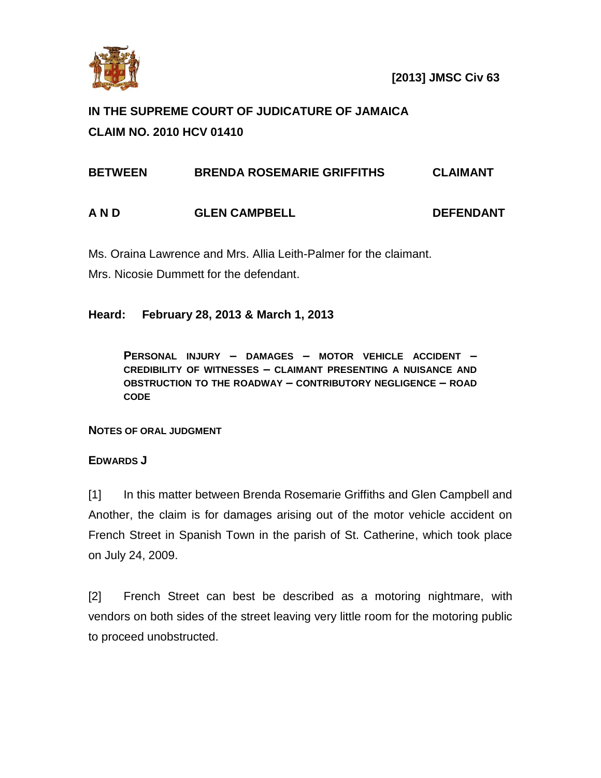

 **[2013] JMSC Civ 63** 

## **IN THE SUPREME COURT OF JUDICATURE OF JAMAICA CLAIM NO. 2010 HCV 01410**

| <b>BETWEEN</b> | <b>BRENDA ROSEMARIE GRIFFITHS</b> | <b>CLAIMANT</b>  |
|----------------|-----------------------------------|------------------|
| A N D          | <b>GLEN CAMPBELL</b>              | <b>DEFENDANT</b> |

Ms. Oraina Lawrence and Mrs. Allia Leith-Palmer for the claimant.

Mrs. Nicosie Dummett for the defendant.

## **Heard: February 28, 2013 & March 1, 2013**

**PERSONAL INJURY – DAMAGES – MOTOR VEHICLE ACCIDENT – CREDIBILITY OF WITNESSES – CLAIMANT PRESENTING A NUISANCE AND OBSTRUCTION TO THE ROADWAY – CONTRIBUTORY NEGLIGENCE – ROAD CODE**

**NOTES OF ORAL JUDGMENT**

## **EDWARDS J**

[1] In this matter between Brenda Rosemarie Griffiths and Glen Campbell and Another, the claim is for damages arising out of the motor vehicle accident on French Street in Spanish Town in the parish of St. Catherine, which took place on July 24, 2009.

[2] French Street can best be described as a motoring nightmare, with vendors on both sides of the street leaving very little room for the motoring public to proceed unobstructed.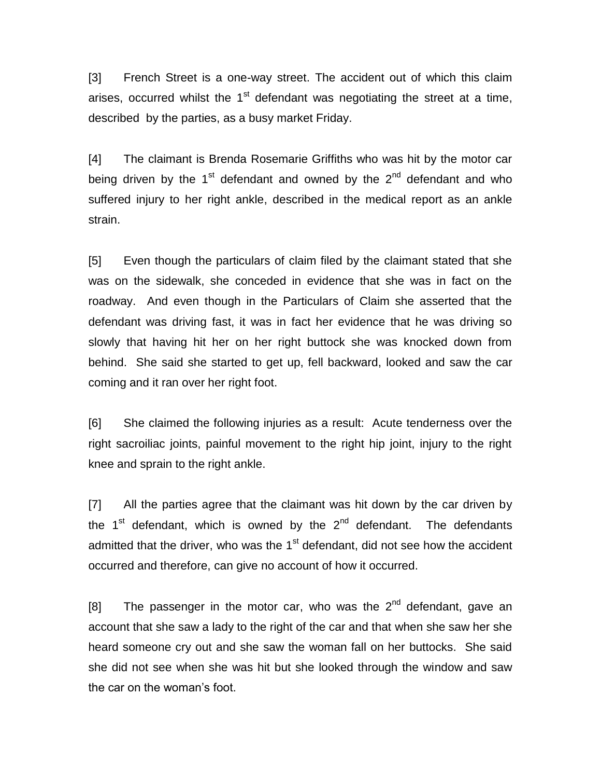[3] French Street is a one-way street. The accident out of which this claim arises, occurred whilst the  $1<sup>st</sup>$  defendant was negotiating the street at a time, described by the parties, as a busy market Friday.

[4] The claimant is Brenda Rosemarie Griffiths who was hit by the motor car being driven by the  $1<sup>st</sup>$  defendant and owned by the  $2<sup>nd</sup>$  defendant and who suffered injury to her right ankle, described in the medical report as an ankle strain.

[5] Even though the particulars of claim filed by the claimant stated that she was on the sidewalk, she conceded in evidence that she was in fact on the roadway. And even though in the Particulars of Claim she asserted that the defendant was driving fast, it was in fact her evidence that he was driving so slowly that having hit her on her right buttock she was knocked down from behind. She said she started to get up, fell backward, looked and saw the car coming and it ran over her right foot.

[6] She claimed the following injuries as a result: Acute tenderness over the right sacroiliac joints, painful movement to the right hip joint, injury to the right knee and sprain to the right ankle.

[7] All the parties agree that the claimant was hit down by the car driven by the  $1<sup>st</sup>$  defendant, which is owned by the  $2<sup>nd</sup>$  defendant. The defendants admitted that the driver, who was the  $1<sup>st</sup>$  defendant, did not see how the accident occurred and therefore, can give no account of how it occurred.

[8] The passenger in the motor car, who was the  $2<sup>nd</sup>$  defendant, gave an account that she saw a lady to the right of the car and that when she saw her she heard someone cry out and she saw the woman fall on her buttocks. She said she did not see when she was hit but she looked through the window and saw the car on the woman's foot.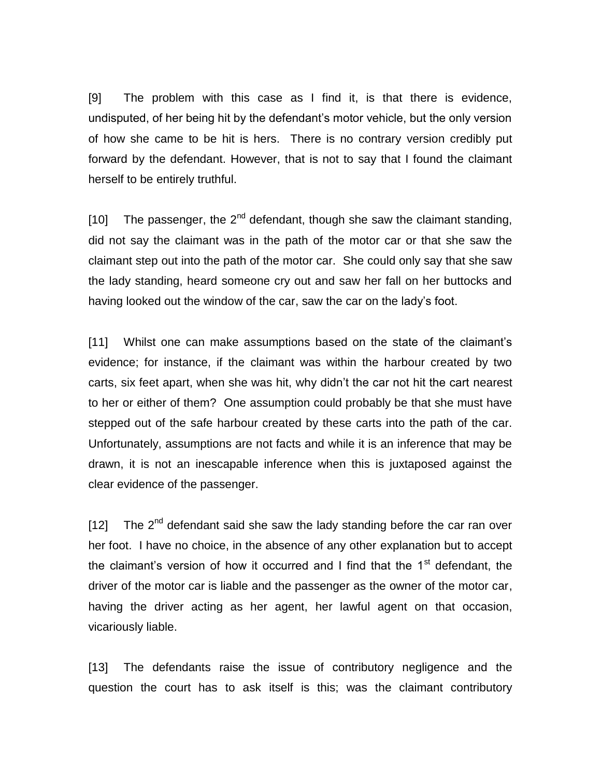[9] The problem with this case as I find it, is that there is evidence, undisputed, of her being hit by the defendant's motor vehicle, but the only version of how she came to be hit is hers. There is no contrary version credibly put forward by the defendant. However, that is not to say that I found the claimant herself to be entirely truthful.

[10] The passenger, the  $2^{nd}$  defendant, though she saw the claimant standing, did not say the claimant was in the path of the motor car or that she saw the claimant step out into the path of the motor car. She could only say that she saw the lady standing, heard someone cry out and saw her fall on her buttocks and having looked out the window of the car, saw the car on the lady's foot.

[11] Whilst one can make assumptions based on the state of the claimant's evidence; for instance, if the claimant was within the harbour created by two carts, six feet apart, when she was hit, why didn't the car not hit the cart nearest to her or either of them? One assumption could probably be that she must have stepped out of the safe harbour created by these carts into the path of the car. Unfortunately, assumptions are not facts and while it is an inference that may be drawn, it is not an inescapable inference when this is juxtaposed against the clear evidence of the passenger.

 $[12]$  The  $2<sup>nd</sup>$  defendant said she saw the lady standing before the car ran over her foot. I have no choice, in the absence of any other explanation but to accept the claimant's version of how it occurred and I find that the  $1<sup>st</sup>$  defendant, the driver of the motor car is liable and the passenger as the owner of the motor car, having the driver acting as her agent, her lawful agent on that occasion, vicariously liable.

[13] The defendants raise the issue of contributory negligence and the question the court has to ask itself is this; was the claimant contributory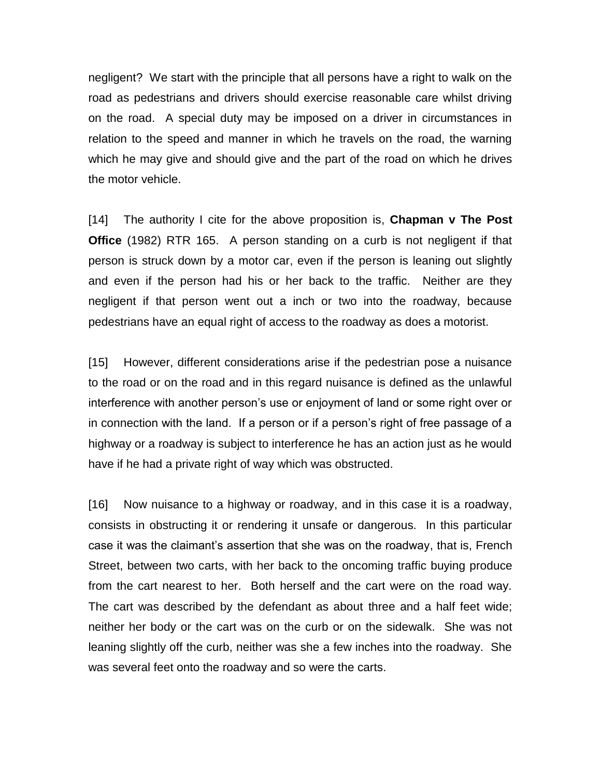negligent? We start with the principle that all persons have a right to walk on the road as pedestrians and drivers should exercise reasonable care whilst driving on the road. A special duty may be imposed on a driver in circumstances in relation to the speed and manner in which he travels on the road, the warning which he may give and should give and the part of the road on which he drives the motor vehicle.

[14] The authority I cite for the above proposition is, **Chapman v The Post Office** (1982) RTR 165. A person standing on a curb is not negligent if that person is struck down by a motor car, even if the person is leaning out slightly and even if the person had his or her back to the traffic. Neither are they negligent if that person went out a inch or two into the roadway, because pedestrians have an equal right of access to the roadway as does a motorist.

[15] However, different considerations arise if the pedestrian pose a nuisance to the road or on the road and in this regard nuisance is defined as the unlawful interference with another person's use or enjoyment of land or some right over or in connection with the land. If a person or if a person's right of free passage of a highway or a roadway is subject to interference he has an action just as he would have if he had a private right of way which was obstructed.

[16] Now nuisance to a highway or roadway, and in this case it is a roadway, consists in obstructing it or rendering it unsafe or dangerous. In this particular case it was the claimant's assertion that she was on the roadway, that is, French Street, between two carts, with her back to the oncoming traffic buying produce from the cart nearest to her. Both herself and the cart were on the road way. The cart was described by the defendant as about three and a half feet wide; neither her body or the cart was on the curb or on the sidewalk. She was not leaning slightly off the curb, neither was she a few inches into the roadway. She was several feet onto the roadway and so were the carts.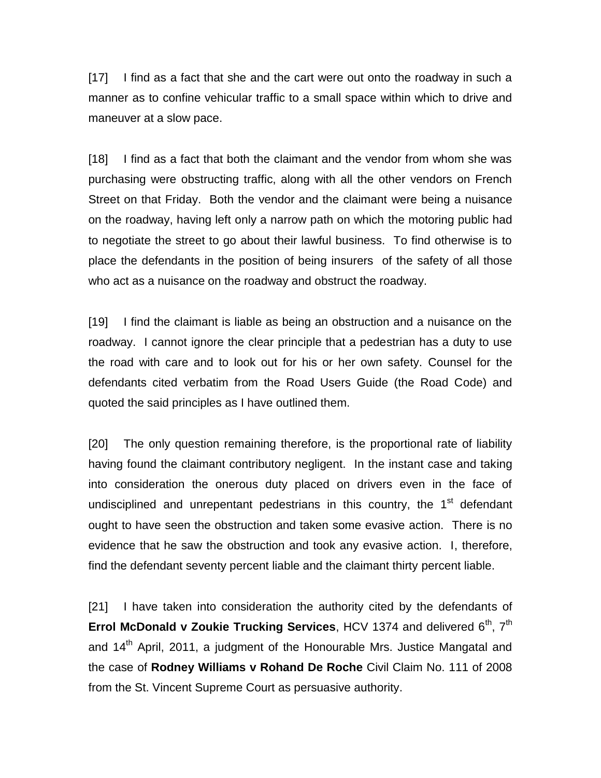[17] I find as a fact that she and the cart were out onto the roadway in such a manner as to confine vehicular traffic to a small space within which to drive and maneuver at a slow pace.

[18] I find as a fact that both the claimant and the vendor from whom she was purchasing were obstructing traffic, along with all the other vendors on French Street on that Friday. Both the vendor and the claimant were being a nuisance on the roadway, having left only a narrow path on which the motoring public had to negotiate the street to go about their lawful business. To find otherwise is to place the defendants in the position of being insurers of the safety of all those who act as a nuisance on the roadway and obstruct the roadway.

[19] I find the claimant is liable as being an obstruction and a nuisance on the roadway. I cannot ignore the clear principle that a pedestrian has a duty to use the road with care and to look out for his or her own safety. Counsel for the defendants cited verbatim from the Road Users Guide (the Road Code) and quoted the said principles as I have outlined them.

[20] The only question remaining therefore, is the proportional rate of liability having found the claimant contributory negligent. In the instant case and taking into consideration the onerous duty placed on drivers even in the face of undisciplined and unrepentant pedestrians in this country, the 1<sup>st</sup> defendant ought to have seen the obstruction and taken some evasive action. There is no evidence that he saw the obstruction and took any evasive action. I, therefore, find the defendant seventy percent liable and the claimant thirty percent liable.

[21] I have taken into consideration the authority cited by the defendants of **Errol McDonald v Zoukie Trucking Services**, HCV 1374 and delivered 6<sup>th</sup>, 7<sup>th</sup> and 14<sup>th</sup> April, 2011, a judgment of the Honourable Mrs. Justice Mangatal and the case of **Rodney Williams v Rohand De Roche** Civil Claim No. 111 of 2008 from the St. Vincent Supreme Court as persuasive authority.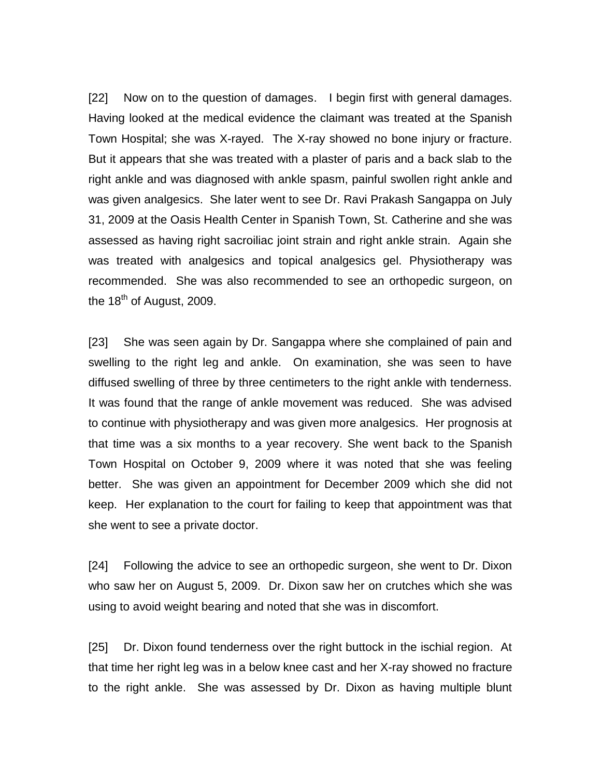[22] Now on to the question of damages. I begin first with general damages. Having looked at the medical evidence the claimant was treated at the Spanish Town Hospital; she was X-rayed. The X-ray showed no bone injury or fracture. But it appears that she was treated with a plaster of paris and a back slab to the right ankle and was diagnosed with ankle spasm, painful swollen right ankle and was given analgesics. She later went to see Dr. Ravi Prakash Sangappa on July 31, 2009 at the Oasis Health Center in Spanish Town, St. Catherine and she was assessed as having right sacroiliac joint strain and right ankle strain. Again she was treated with analgesics and topical analgesics gel. Physiotherapy was recommended. She was also recommended to see an orthopedic surgeon, on the  $18<sup>th</sup>$  of August, 2009.

[23] She was seen again by Dr. Sangappa where she complained of pain and swelling to the right leg and ankle. On examination, she was seen to have diffused swelling of three by three centimeters to the right ankle with tenderness. It was found that the range of ankle movement was reduced. She was advised to continue with physiotherapy and was given more analgesics. Her prognosis at that time was a six months to a year recovery. She went back to the Spanish Town Hospital on October 9, 2009 where it was noted that she was feeling better. She was given an appointment for December 2009 which she did not keep. Her explanation to the court for failing to keep that appointment was that she went to see a private doctor.

[24] Following the advice to see an orthopedic surgeon, she went to Dr. Dixon who saw her on August 5, 2009. Dr. Dixon saw her on crutches which she was using to avoid weight bearing and noted that she was in discomfort.

[25] Dr. Dixon found tenderness over the right buttock in the ischial region. At that time her right leg was in a below knee cast and her X-ray showed no fracture to the right ankle. She was assessed by Dr. Dixon as having multiple blunt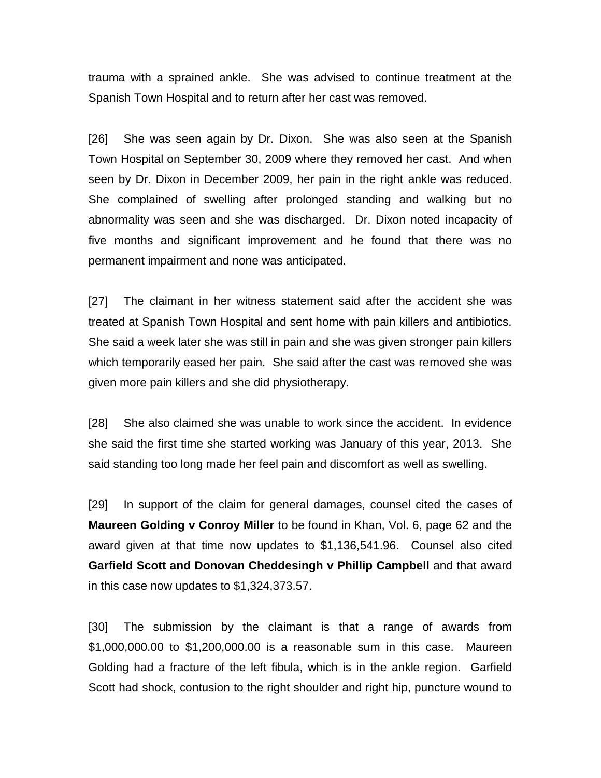trauma with a sprained ankle. She was advised to continue treatment at the Spanish Town Hospital and to return after her cast was removed.

[26] She was seen again by Dr. Dixon. She was also seen at the Spanish Town Hospital on September 30, 2009 where they removed her cast. And when seen by Dr. Dixon in December 2009, her pain in the right ankle was reduced. She complained of swelling after prolonged standing and walking but no abnormality was seen and she was discharged. Dr. Dixon noted incapacity of five months and significant improvement and he found that there was no permanent impairment and none was anticipated.

[27] The claimant in her witness statement said after the accident she was treated at Spanish Town Hospital and sent home with pain killers and antibiotics. She said a week later she was still in pain and she was given stronger pain killers which temporarily eased her pain. She said after the cast was removed she was given more pain killers and she did physiotherapy.

[28] She also claimed she was unable to work since the accident. In evidence she said the first time she started working was January of this year, 2013. She said standing too long made her feel pain and discomfort as well as swelling.

[29] In support of the claim for general damages, counsel cited the cases of **Maureen Golding v Conroy Miller** to be found in Khan, Vol. 6, page 62 and the award given at that time now updates to \$1,136,541.96. Counsel also cited **Garfield Scott and Donovan Cheddesingh v Phillip Campbell** and that award in this case now updates to \$1,324,373.57.

[30] The submission by the claimant is that a range of awards from \$1,000,000.00 to \$1,200,000.00 is a reasonable sum in this case. Maureen Golding had a fracture of the left fibula, which is in the ankle region. Garfield Scott had shock, contusion to the right shoulder and right hip, puncture wound to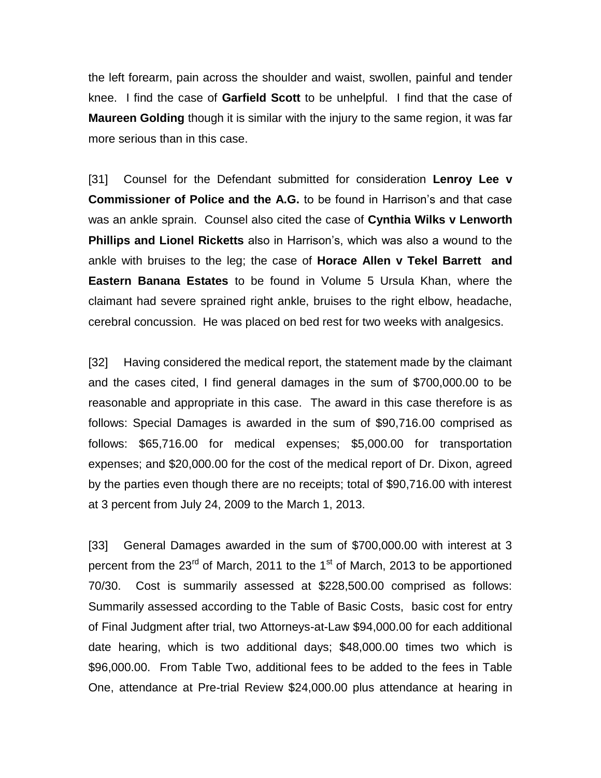the left forearm, pain across the shoulder and waist, swollen, painful and tender knee. I find the case of **Garfield Scott** to be unhelpful. I find that the case of **Maureen Golding** though it is similar with the injury to the same region, it was far more serious than in this case.

[31] Counsel for the Defendant submitted for consideration **Lenroy Lee v Commissioner of Police and the A.G.** to be found in Harrison's and that case was an ankle sprain. Counsel also cited the case of **Cynthia Wilks v Lenworth Phillips and Lionel Ricketts** also in Harrison's, which was also a wound to the ankle with bruises to the leg; the case of **Horace Allen v Tekel Barrett and Eastern Banana Estates** to be found in Volume 5 Ursula Khan, where the claimant had severe sprained right ankle, bruises to the right elbow, headache, cerebral concussion. He was placed on bed rest for two weeks with analgesics.

[32] Having considered the medical report, the statement made by the claimant and the cases cited, I find general damages in the sum of \$700,000.00 to be reasonable and appropriate in this case. The award in this case therefore is as follows: Special Damages is awarded in the sum of \$90,716.00 comprised as follows: \$65,716.00 for medical expenses; \$5,000.00 for transportation expenses; and \$20,000.00 for the cost of the medical report of Dr. Dixon, agreed by the parties even though there are no receipts; total of \$90,716.00 with interest at 3 percent from July 24, 2009 to the March 1, 2013.

[33] General Damages awarded in the sum of \$700,000.00 with interest at 3 percent from the  $23<sup>rd</sup>$  of March, 2011 to the 1<sup>st</sup> of March, 2013 to be apportioned 70/30. Cost is summarily assessed at \$228,500.00 comprised as follows: Summarily assessed according to the Table of Basic Costs, basic cost for entry of Final Judgment after trial, two Attorneys-at-Law \$94,000.00 for each additional date hearing, which is two additional days; \$48,000.00 times two which is \$96,000.00. From Table Two, additional fees to be added to the fees in Table One, attendance at Pre-trial Review \$24,000.00 plus attendance at hearing in